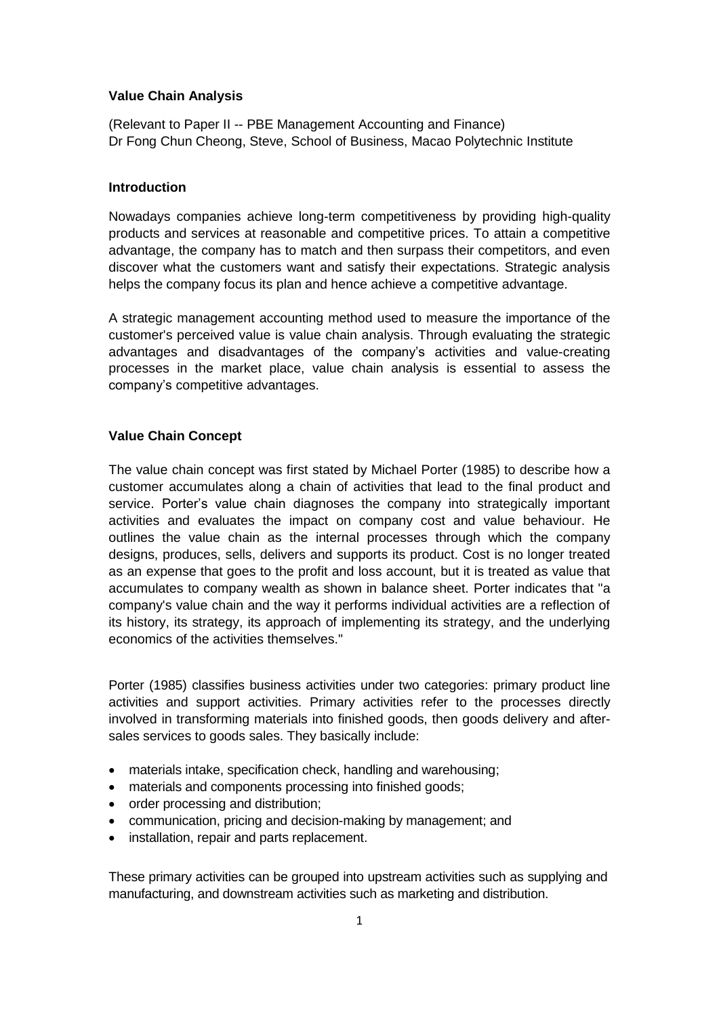## **Value Chain Analysis**

(Relevant to Paper II -- PBE Management Accounting and Finance) Dr Fong Chun Cheong, Steve, School of Business, Macao Polytechnic Institute

#### **Introduction**

Nowadays companies achieve long-term competitiveness by providing high-quality products and services at reasonable and competitive prices. To attain a competitive advantage, the company has to match and then surpass their competitors, and even discover what the customers want and satisfy their expectations. Strategic analysis helps the company focus its plan and hence achieve a competitive advantage.

A strategic management accounting method used to measure the importance of the customer's perceived value is value chain analysis. Through evaluating the strategic advantages and disadvantages of the company's activities and value-creating processes in the market place, value chain analysis is essential to assess the company's competitive advantages.

#### **Value Chain Concept**

The value chain concept was first stated by Michael Porter (1985) to describe how a customer accumulates along a chain of activities that lead to the final product and service. Porter's value chain diagnoses the company into strategically important activities and evaluates the impact on company cost and value behaviour. He outlines the value chain as the internal processes through which the company designs, produces, sells, delivers and supports its product. Cost is no longer treated as an expense that goes to the profit and loss account, but it is treated as value that accumulates to company wealth as shown in balance sheet. Porter indicates that "a company's value chain and the way it performs individual activities are a reflection of its history, its strategy, its approach of implementing its strategy, and the underlying economics of the activities themselves."

Porter (1985) classifies business activities under two categories: primary product line activities and support activities. Primary activities refer to the processes directly involved in transforming materials into finished goods, then goods delivery and aftersales services to goods sales. They basically include:

- materials intake, specification check, handling and warehousing;
- materials and components processing into finished goods;
- order processing and distribution;
- communication, pricing and decision-making by management; and
- installation, repair and parts replacement.

These primary activities can be grouped into upstream activities such as supplying and manufacturing, and downstream activities such as marketing and distribution.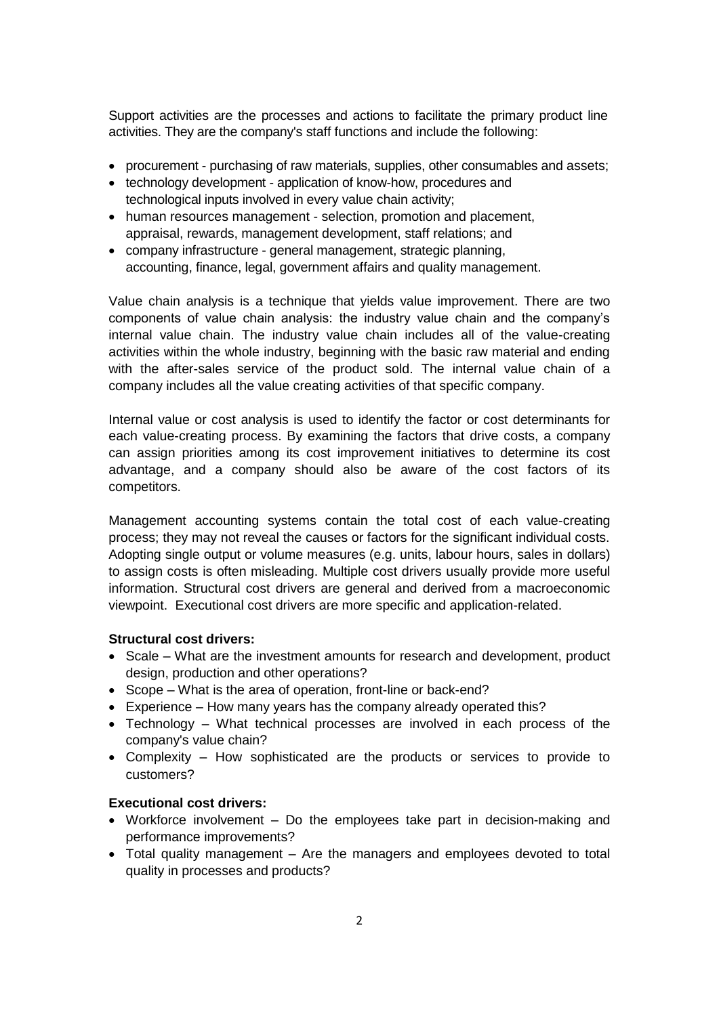Support activities are the processes and actions to facilitate the primary product line activities. They are the company's staff functions and include the following:

- procurement purchasing of raw materials, supplies, other consumables and assets;
- technology development application of know-how, procedures and technological inputs involved in every value chain activity;
- human resources management selection, promotion and placement, appraisal, rewards, management development, staff relations; and
- company infrastructure general management, strategic planning, accounting, finance, legal, government affairs and quality management.

Value chain analysis is a technique that yields value improvement. There are two components of value chain analysis: the industry value chain and the company's internal value chain. The industry value chain includes all of the value-creating activities within the whole industry, beginning with the basic raw material and ending with the after-sales service of the product sold. The internal value chain of a company includes all the value creating activities of that specific company.

Internal value or cost analysis is used to identify the factor or cost determinants for each value-creating process. By examining the factors that drive costs, a company can assign priorities among its cost improvement initiatives to determine its cost advantage, and a company should also be aware of the cost factors of its competitors.

Management accounting systems contain the total cost of each value-creating process; they may not reveal the causes or factors for the significant individual costs. Adopting single output or volume measures (e.g. units, labour hours, sales in dollars) to assign costs is often misleading. Multiple cost drivers usually provide more useful information. Structural cost drivers are general and derived from a macroeconomic viewpoint. Executional cost drivers are more specific and application-related.

# **Structural cost drivers:**

- Scale What are the investment amounts for research and development, product design, production and other operations?
- Scope What is the area of operation, front-line or back-end?
- Experience How many years has the company already operated this?
- Technology What technical processes are involved in each process of the company's value chain?
- Complexity How sophisticated are the products or services to provide to customers?

# **Executional cost drivers:**

- Workforce involvement Do the employees take part in decision-making and performance improvements?
- Total quality management Are the managers and employees devoted to total quality in processes and products?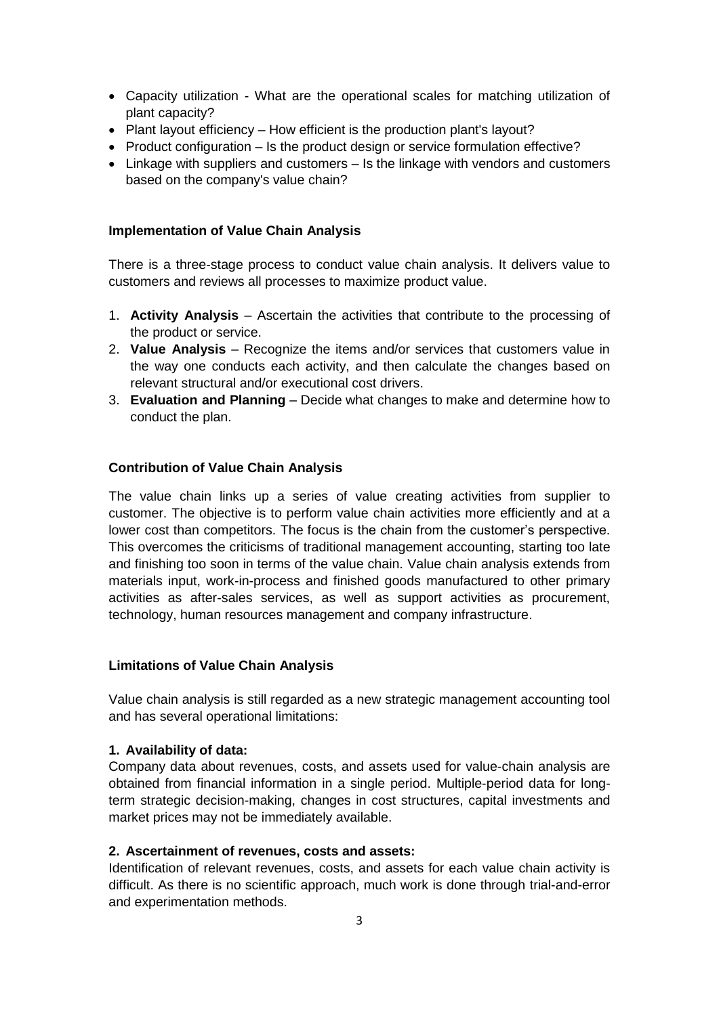- Capacity utilization What are the operational scales for matching utilization of plant capacity?
- Plant layout efficiency How efficient is the production plant's layout?
- Product configuration Is the product design or service formulation effective?
- Linkage with suppliers and customers Is the linkage with vendors and customers based on the company's value chain?

## **Implementation of Value Chain Analysis**

There is a three-stage process to conduct value chain analysis. It delivers value to customers and reviews all processes to maximize product value.

- 1. **Activity Analysis** Ascertain the activities that contribute to the processing of the product or service.
- 2. **Value Analysis** Recognize the items and/or services that customers value in the way one conducts each activity, and then calculate the changes based on relevant structural and/or executional cost drivers.
- 3. **Evaluation and Planning** Decide what changes to make and determine how to conduct the plan.

## **Contribution of Value Chain Analysis**

The value chain links up a series of value creating activities from supplier to customer. The objective is to perform value chain activities more efficiently and at a lower cost than competitors. The focus is the chain from the customer's perspective. This overcomes the criticisms of traditional management accounting, starting too late and finishing too soon in terms of the value chain. Value chain analysis extends from materials input, work-in-process and finished goods manufactured to other primary activities as after-sales services, as well as support activities as procurement, technology, human resources management and company infrastructure.

#### **Limitations of Value Chain Analysis**

Value chain analysis is still regarded as a new strategic management accounting tool and has several operational limitations:

#### **1. Availability of data:**

Company data about revenues, costs, and assets used for value-chain analysis are obtained from financial information in a single period. Multiple-period data for longterm strategic decision-making, changes in cost structures, capital investments and market prices may not be immediately available.

## **2. Ascertainment of revenues, costs and assets:**

Identification of relevant revenues, costs, and assets for each value chain activity is difficult. As there is no scientific approach, much work is done through trial-and-error and experimentation methods.